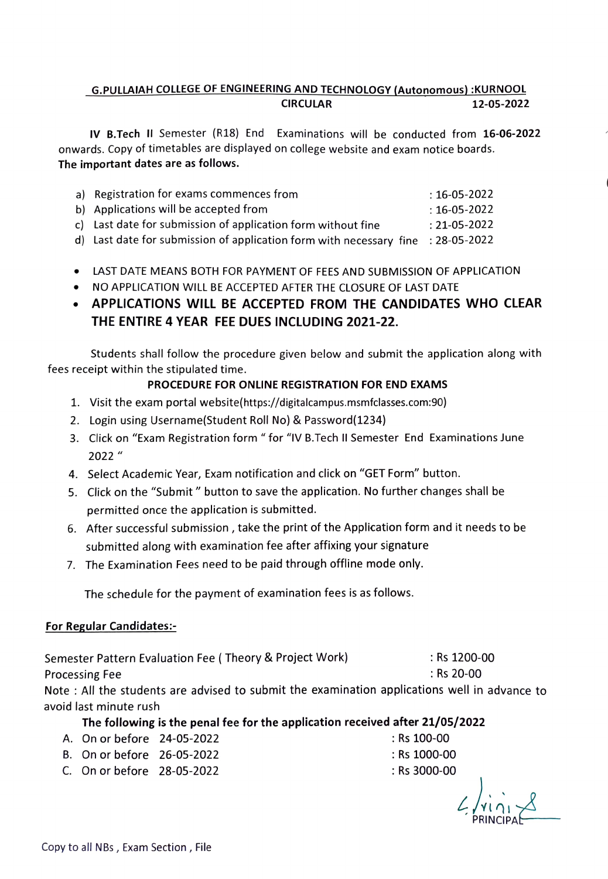### G.PULLAIAH COLLEGE OF ENGINEERING AND TECHNOLOGY (Autonomous) :KURNOOL<br>12-05-2022 12-05-2022

IV B.Tech II Semester (R18) End Examinations will be conducted from 16-06-2022 onwards. Copy of timetables are displayed on college website and exam notice boards. The important dates are as follows.

| a) Registration for exams commences from                                         | : 16-05-2022   |
|----------------------------------------------------------------------------------|----------------|
| b) Applications will be accepted from                                            | $:16$ -05-2022 |
| c) Last date for submission of application form without fine                     | : 21-05-2022   |
| d) Last date for submission of application form with necessary fine : 28-05-2022 |                |

- LAST DATE MEANS BOTH FOR PAYMENT OF FEES AND SUBMISSION OF APPLICATION
- NO APPLICATION WILL BE ACCEPTED AFTER THE CLOSURE OF LAST DATE
- APPLICATIONS WILL BE ACCEPTED FROM THE CANDIDATES WHO CLEAR THE ENTIRE 4 YEAR FEE DUES INCLUDING 2021-22.

Students shall follow the procedure given below and submit the application along with fees receipt within the stipulated time.

#### PROCEDURE FOR ONLINE REGISTRATION FOR END EXAMS

- 1. Visit the exam portal website(https://digitalcampus.msmfclasses.com:90)
- 2. Login using Username(Student Roll No) & Password(1234)
- 3. Click on "Exam Registration form " for "IV B.Tech Il Semester End Examinations June 2022"
- 4. Select Academic Year, Exam notification and click on "GET Form" button.
- 5. Click on the "Submit " button to save the application. No further changes shall be permitted once the application is submitted.
- 6. After successful submission, take the print of the Application form and it needs to be submitted along with examination fee after affixing your signature
- 7. The Examination Fees need to be paid through offline mode only.

The schedule for the payment of examination fees is as follows.

#### For Regular Candidates

Semester Pattern Evaluation Fee ( Theory & Project Work) Rs 1200-00 Processing Fee

Note : All the students are advised to submit the examination applications well in advance to avoid last minute rush

The following is the penal fee for the application received after 21/05/2022

- A. On or before 24-05-2022 : Rs 100-00
- B. On or before 26-05-2022 : Rs 1000-00
- C. On or before 28-05-2022 Rs 3000-00 : Rs 3000-00
- -

 $2/4i$ PRINCIPAL